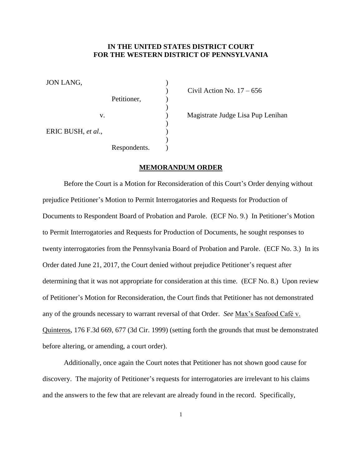## **IN THE UNITED STATES DISTRICT COURT FOR THE WESTERN DISTRICT OF PENNSYLVANIA**

)

 $\mathcal{L}$ )

 $\mathcal{L}$  $\lambda$ )  $\lambda$ 

JON LANG,

 Petitioner, v. ERIC BUSH, *et al*., Respondents.

 $\sum$  Civil Action No. 17 – 656

) Magistrate Judge Lisa Pup Lenihan

## **MEMORANDUM ORDER**

Before the Court is a Motion for Reconsideration of this Court's Order denying without prejudice Petitioner's Motion to Permit Interrogatories and Requests for Production of Documents to Respondent Board of Probation and Parole. (ECF No. 9.) In Petitioner's Motion to Permit Interrogatories and Requests for Production of Documents, he sought responses to twenty interrogatories from the Pennsylvania Board of Probation and Parole. (ECF No. 3.) In its Order dated June 21, 2017, the Court denied without prejudice Petitioner's request after determining that it was not appropriate for consideration at this time. (ECF No. 8.) Upon review of Petitioner's Motion for Reconsideration, the Court finds that Petitioner has not demonstrated any of the grounds necessary to warrant reversal of that Order. *See* Max's Seafood Café v. Quinteros, 176 F.3d 669, 677 (3d Cir. 1999) (setting forth the grounds that must be demonstrated before altering, or amending, a court order).

Additionally, once again the Court notes that Petitioner has not shown good cause for discovery. The majority of Petitioner's requests for interrogatories are irrelevant to his claims and the answers to the few that are relevant are already found in the record. Specifically,